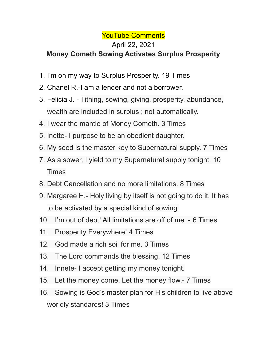## YouTube Comments

## April 22, 2021 **Money Cometh Sowing Activates Surplus Prosperity**

## 1. I'm on my way to Surplus Prosperity. 19 Times

- 2. Chanel R.-I am a lender and not a borrower.
- 3. Felicia J. Tithing, sowing, giving, prosperity, abundance, wealth are included in surplus ; not automatically.
- 4. I wear the mantle of Money Cometh. 3 Times
- 5. Inette- I purpose to be an obedient daughter.
- 6. My seed is the master key to Supernatural supply. 7 Times
- 7. As a sower, I yield to my Supernatural supply tonight. 10 Times
- 8. Debt Cancellation and no more limitations. 8 Times
- 9. Margaree H.- Holy living by itself is not going to do it. It has to be activated by a special kind of sowing.
- 10. I'm out of debt! All limitations are off of me. 6 Times
- 11. Prosperity Everywhere! 4 Times
- 12. God made a rich soil for me. 3 Times
- 13. The Lord commands the blessing. 12 Times
- 14. Innete- I accept getting my money tonight.
- 15. Let the money come. Let the money flow.- 7 Times
- 16. Sowing is God's master plan for His children to live above worldly standards! 3 Times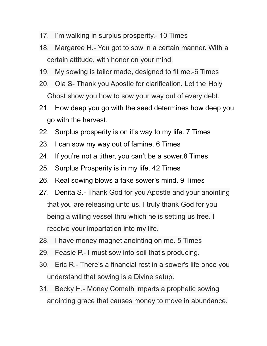- 17. I'm walking in surplus prosperity.- 10 Times
- 18. Margaree H.- You got to sow in a certain manner. With a certain attitude, with honor on your mind.
- 19. My sowing is tailor made, designed to fit me.-6 Times
- 20. Ola S- Thank you Apostle for clarification. Let the Holy Ghost show you how to sow your way out of every debt.
- 21. How deep you go with the seed determines how deep you go with the harvest.
- 22. Surplus prosperity is on it's way to my life. 7 Times
- 23. I can sow my way out of famine. 6 Times
- 24. If you're not a tither, you can't be a sower.8 Times
- 25. Surplus Prosperity is in my life. 42 Times
- 26. Real sowing blows a fake sower's mind. 9 Times
- 27. Denita S.- Thank God for you Apostle and your anointing that you are releasing unto us. I truly thank God for you being a willing vessel thru which he is setting us free. I receive your impartation into my life.
- 28. I have money magnet anointing on me. 5 Times
- 29. Feasie P.- I must sow into soil that's producing.
- 30. Eric R.- There's a financial rest in a sower's life once you understand that sowing is a Divine setup.
- 31. Becky H.- Money Cometh imparts a prophetic sowing anointing grace that causes money to move in abundance.